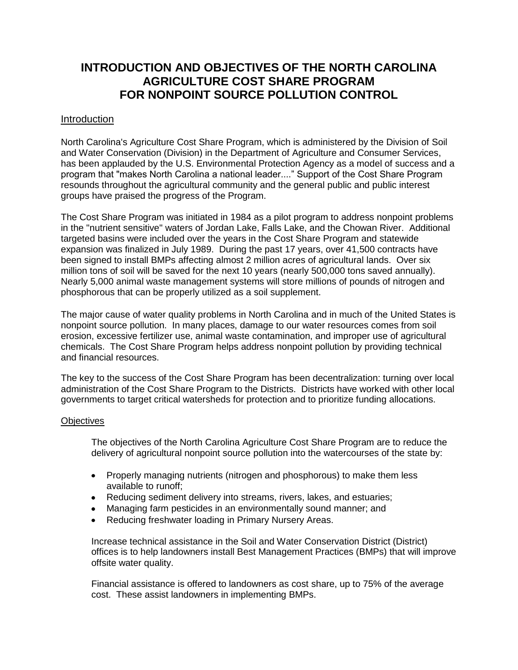## **INTRODUCTION AND OBJECTIVES OF THE NORTH CAROLINA AGRICULTURE COST SHARE PROGRAM FOR NONPOINT SOURCE POLLUTION CONTROL**

## Introduction

North Carolina's Agriculture Cost Share Program, which is administered by the Division of Soil and Water Conservation (Division) in the Department of Agriculture and Consumer Services, has been applauded by the U.S. Environmental Protection Agency as a model of success and a program that "makes North Carolina a national leader...." Support of the Cost Share Program resounds throughout the agricultural community and the general public and public interest groups have praised the progress of the Program.

The Cost Share Program was initiated in 1984 as a pilot program to address nonpoint problems in the "nutrient sensitive" waters of Jordan Lake, Falls Lake, and the Chowan River. Additional targeted basins were included over the years in the Cost Share Program and statewide expansion was finalized in July 1989. During the past 17 years, over 41,500 contracts have been signed to install BMPs affecting almost 2 million acres of agricultural lands. Over six million tons of soil will be saved for the next 10 years (nearly 500,000 tons saved annually). Nearly 5,000 animal waste management systems will store millions of pounds of nitrogen and phosphorous that can be properly utilized as a soil supplement.

The major cause of water quality problems in North Carolina and in much of the United States is nonpoint source pollution. In many places, damage to our water resources comes from soil erosion, excessive fertilizer use, animal waste contamination, and improper use of agricultural chemicals. The Cost Share Program helps address nonpoint pollution by providing technical and financial resources.

The key to the success of the Cost Share Program has been decentralization: turning over local administration of the Cost Share Program to the Districts. Districts have worked with other local governments to target critical watersheds for protection and to prioritize funding allocations.

## **Objectives**

The objectives of the North Carolina Agriculture Cost Share Program are to reduce the delivery of agricultural nonpoint source pollution into the watercourses of the state by:

- Properly managing nutrients (nitrogen and phosphorous) to make them less available to runoff;
- Reducing sediment delivery into streams, rivers, lakes, and estuaries;
- Managing farm pesticides in an environmentally sound manner; and
- Reducing freshwater loading in Primary Nursery Areas.  $\bullet$

Increase technical assistance in the Soil and Water Conservation District (District) offices is to help landowners install Best Management Practices (BMPs) that will improve offsite water quality.

Financial assistance is offered to landowners as cost share, up to 75% of the average cost. These assist landowners in implementing BMPs.